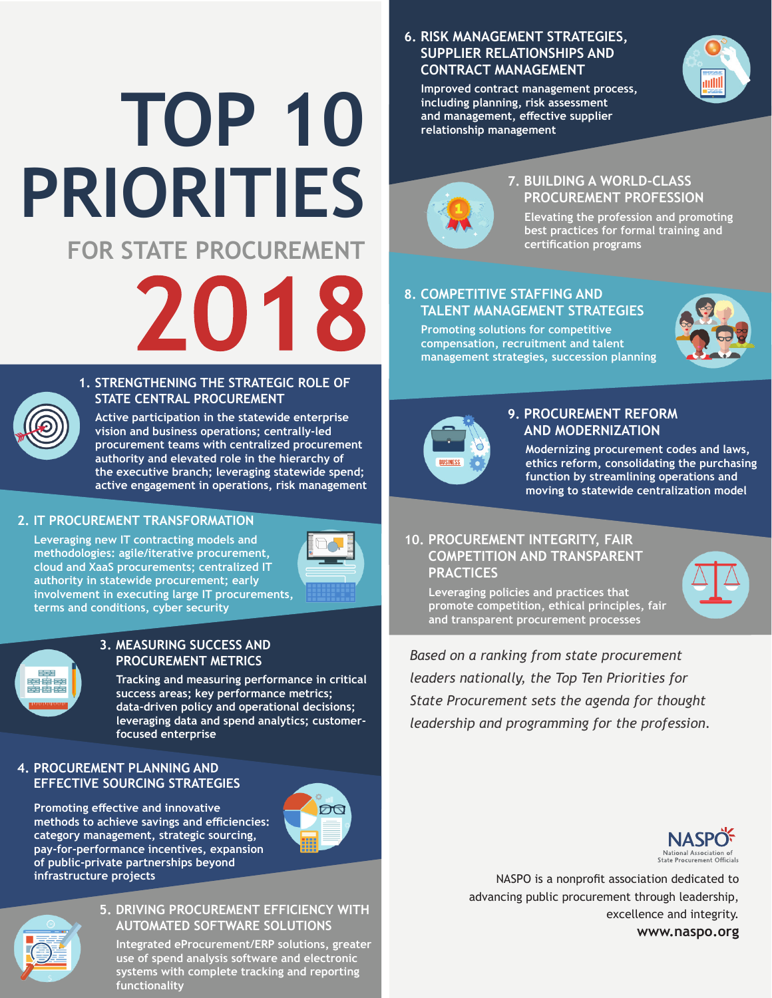## **FOR STATE PROCUREMENT PRIORITIES TOP 10**

# 2018

#### **1. STRENGTHENING THE STRATEGIC ROLE OF STATE CENTRAL PROCUREMENT**

 **Active participation in the statewide enterprise vision and business operations; centrally-led procurement teams with centralized procurement authority and elevated role in the hierarchy of the executive branch; leveraging statewide spend; active engagement in operations, risk management**

#### **2. IT PROCUREMENT TRANSFORMATION**

 **Leveraging new IT contracting models and methodologies: agile/iterative procurement, cloud and XaaS procurements; centralized IT authority in statewide procurement; early involvement in executing large IT procurements, terms and conditions, cyber security**



# 国宝皇<br>三十五年

#### **3. MEASURING SUCCESS AND PROCUREMENT METRICS**

 **Tracking and measuring performance in critical success areas; key performance metrics; data-driven policy and operational decisions; leveraging data and spend analytics; customerfocused enterprise**

#### **4. PROCUREMENT PLANNING AND EFFECTIVE SOURCING STRATEGIES**

**Promoting effective and innovative methods to achieve savings and efficiencies: category management, strategic sourcing, pay-for-performance incentives, expansion of public-private partnerships beyond infrastructure projects**





#### **5. DRIVING PROCUREMENT EFFICIENCY WITH AUTOMATED SOFTWARE SOLUTIONS**

 **Integrated eProcurement/ERP solutions, greater use of spend analysis software and electronic systems with complete tracking and reporting functionality**

#### **6. RISK MANAGEMENT STRATEGIES, SUPPLIER RELATIONSHIPS AND CONTRACT MANAGEMENT**

 **Improved contract management process, including planning, risk assessment and management, effective supplier relationship management**





#### **7. BUILDING A WORLD-CLASS PROCUREMENT PROFESSION**

 **Elevating the profession and promoting best practices for formal training and certification programs**

#### **8. COMPETITIVE STAFFING AND TALENT MANAGEMENT STRATEGIES**

 **Promoting solutions for competitive compensation, recruitment and talent management strategies, succession planning**





#### **9. PROCUREMENT REFORM AND MODERNIZATION**

 **Modernizing procurement codes and laws, ethics reform, consolidating the purchasing function by streamlining operations and moving to statewide centralization model**

#### **10. PROCUREMENT INTEGRITY, FAIR COMPETITION AND TRANSPARENT PRACTICES**

 **Leveraging policies and practices that promote competition, ethical principles, fair and transparent procurement processes**

*Based on a ranking from state procurement leaders nationally, the Top Ten Priorities for State Procurement sets the agenda for thought leadership and programming for the profession.*



NASPO is a nonprofit association dedicated to advancing public procurement through leadership, excellence and integrity. **www.naspo.org**